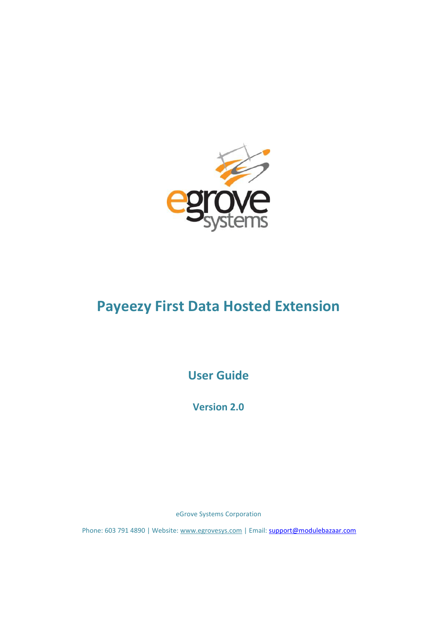

# **Payeezy First Data Hosted Extension**

**User Guide**

**Version 2.0**

eGrove Systems Corporation

Phone: 603 791 4890 | Website: [www.egrovesys.com](http://www.egrovesys.com/) | Email: [support@modulebazaar.com](mailto:support@mdulebazaar.com)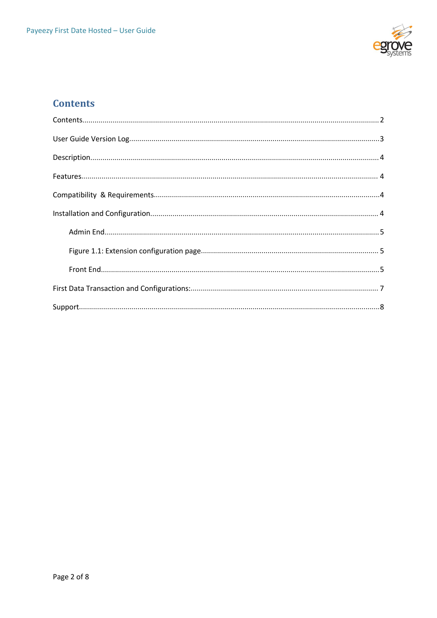

## <span id="page-1-0"></span>**Contents**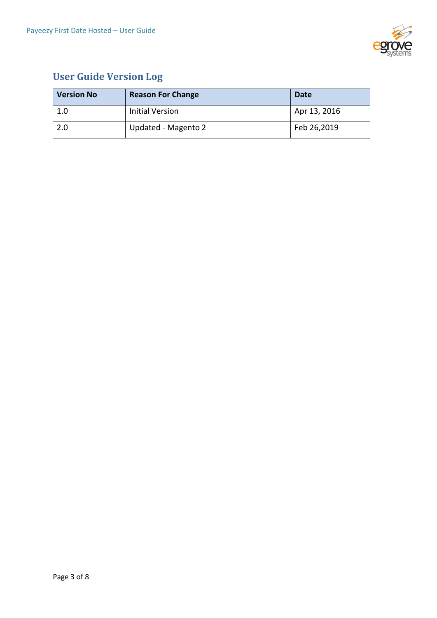

# <span id="page-2-0"></span>**User Guide Version Log**

| <b>Version No</b> | <b>Reason For Change</b> | <b>Date</b>  |
|-------------------|--------------------------|--------------|
| 1.0               | Initial Version          | Apr 13, 2016 |
| 2.0               | Updated - Magento 2      | Feb 26,2019  |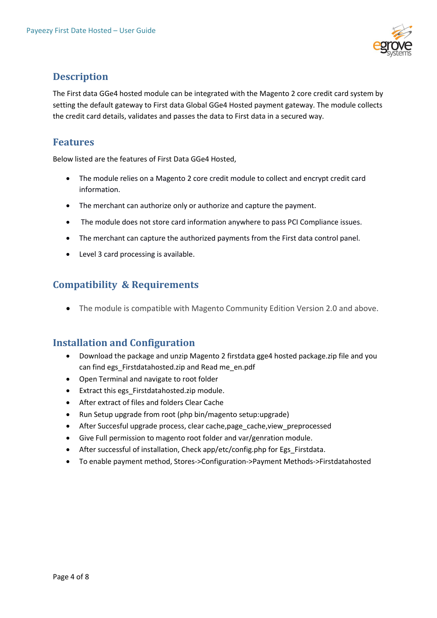

## <span id="page-3-0"></span>**Description**

The First data GGe4 hosted module can be integrated with the Magento 2 core credit card system by setting the default gateway to First data Global GGe4 Hosted payment gateway. The module collects the credit card details, validates and passes the data to First data in a secured way.

### <span id="page-3-1"></span>**Features**

Below listed are the features of First Data GGe4 Hosted,

- The module relies on a Magento 2 core credit module to collect and encrypt credit card information.
- The merchant can authorize only or authorize and capture the payment.
- The module does not store card information anywhere to pass PCI Compliance issues.
- The merchant can capture the authorized payments from the First data control panel.
- Level 3 card processing is available.

## <span id="page-3-2"></span>**Compatibility & Requirements**

The module is compatible with Magento Community Edition Version 2.0 and above.

### <span id="page-3-3"></span>**Installation and Configuration**

- Download the package and unzip Magento 2 firstdata gge4 hosted package.zip file and you can find egs\_Firstdatahosted.zip and Read me\_en.pdf
- Open Terminal and navigate to root folder
- Extract this egs Firstdatahosted.zip module.
- After extract of files and folders Clear Cache
- Run Setup upgrade from root (php bin/magento setup:upgrade)
- After Succesful upgrade process, clear cache,page\_cache,view\_preprocessed
- Give Full permission to magento root folder and var/genration module.
- After successful of installation, Check app/etc/config.php for Egs Firstdata.
- To enable payment method, Stores->Configuration->Payment Methods->Firstdatahosted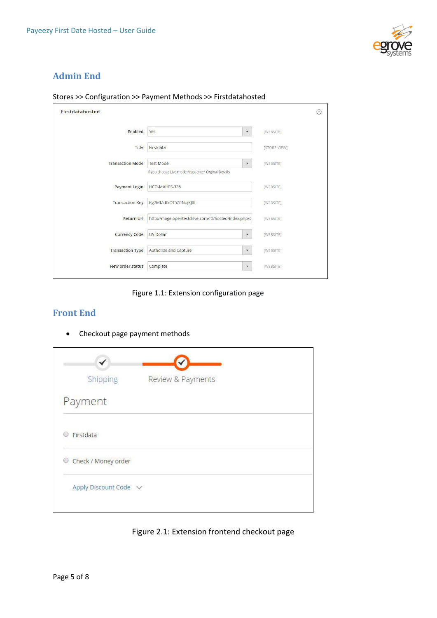

### <span id="page-4-0"></span>**Admin End**

| Firstdatahosted         |                                                                                       | $(\widehat{\phantom{a}})$ |
|-------------------------|---------------------------------------------------------------------------------------|---------------------------|
| Enabled                 | Yes<br>$\mathbf{v}$                                                                   | [WEBSITE]                 |
| Title                   | Firstdata                                                                             | [STORE VIEW]              |
| <b>Transaction Mode</b> | <b>Test Mode</b><br>$\mathbf v$<br>If you choose Live mode Must enter Orginal Details | [WEBSITE]                 |
| <b>Payment Login</b>    | HCO-MAHES-336                                                                         | [WEBSITE]                 |
| <b>Transaction Key</b>  | Kg7MMdfkOT5ZPNojKJRL                                                                  | [WEBSITE]                 |
| <b>Return Url</b>       | http://mage.opentestdrive.com/fd/hosted/index.php/c                                   | [WEBSITE]                 |
| <b>Currency Code</b>    | <b>US Dollar</b><br>$\mathbf{v}$                                                      | [WEBSITE]                 |
| <b>Transaction Type</b> | Authorize and Capture<br>$\mathbf{v}$                                                 | [WEBSITE]                 |
| New order status        | Complete<br>۳                                                                         | <b>TWEBSITET</b>          |

#### Stores >> Configuration >> Payment Methods >> Firstdatahosted

<span id="page-4-1"></span>Figure 1.1: Extension configuration page

#### <span id="page-4-2"></span>**Front End**

• Checkout page payment methods

| Shipping              | Review & Payments |
|-----------------------|-------------------|
| Payment               |                   |
| Firstdata             |                   |
| Check / Money order   |                   |
| Apply Discount Code v |                   |

Figure 2.1: Extension frontend checkout page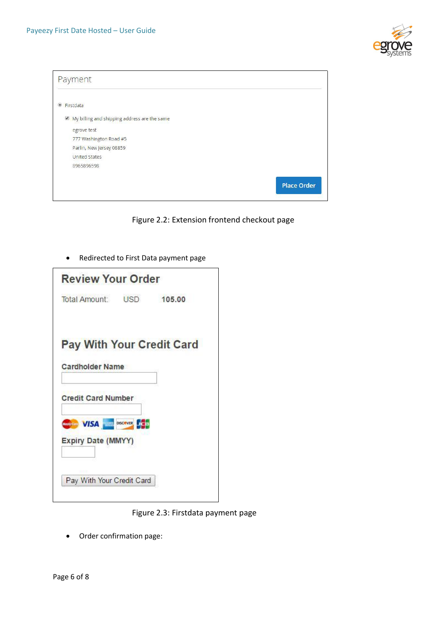

| Payment                                      |                    |
|----------------------------------------------|--------------------|
| Firstdata<br>$\circledcirc$                  |                    |
| My billing and shipping address are the same |                    |
| egrove test                                  |                    |
| 777 Washington Road #5                       |                    |
| Parlin, New Jersey 08859                     |                    |
| <b>United States</b>                         |                    |
| 8965896598                                   |                    |
|                                              | <b>Place Order</b> |

Figure 2.2: Extension frontend checkout page

Redirected to First Data payment page

| <b>Review Your Order</b>         |            |        |
|----------------------------------|------------|--------|
| <b>Total Amount:</b>             | <b>USD</b> | 105.00 |
| <b>Pay With Your Credit Card</b> |            |        |
| <b>Cardholder Name</b>           |            |        |
| <b>Credit Card Number</b>        |            |        |
| <b>WISA DISCOVER</b>             |            |        |
| <b>Expiry Date (MMYY)</b>        |            |        |
| Pay With Your Credit Card        |            |        |
|                                  |            |        |

Figure 2.3: Firstdata payment page

Order confirmation page: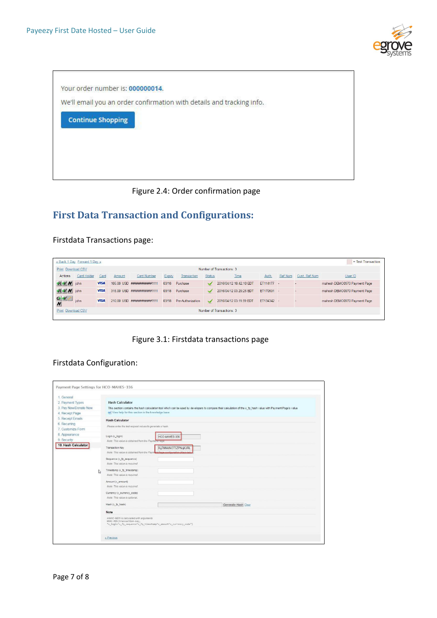



Figure 2.4: Order confirmation page

# <span id="page-6-0"></span>**First Data Transaction and Configurations:**

Firstdata Transactions page:

|                             | « Back 1 Day Forward 1 Day » |             |        |                             |        |                   |               |                           |            |         |               | = Test Transaction           |
|-----------------------------|------------------------------|-------------|--------|-----------------------------|--------|-------------------|---------------|---------------------------|------------|---------|---------------|------------------------------|
| Print Download CSV          |                              |             |        |                             |        |                   |               | Number of Transactions: 3 |            |         |               |                              |
| Actions                     | Card Holder                  | Card        | Amount | <b>Card Number</b>          | Expiry | Transaction       | <b>Status</b> | Time                      | Auth.      | Ref Num | Cust. Ref Num | User ID                      |
| K W / john                  |                              | <b>VISA</b> |        | 105.00 USD ###########1111  | 03/18  | Purchase          | ✓             | 2016/04/12 10:42:10 EDT   | ET114177 - |         | $\sim$        | mahesh DEMO0970 Payment Page |
| R V / john                  |                              | <b>VISA</b> |        | 315 00 USD ###########1111  | 03/18  | Purchase          |               | 2016/04/12 03:29:25 EDT   | ET170591 - |         | <b>Sec.</b>   | mahesh DEMO0970 Payment Page |
| $G$ $W$<br>$\boldsymbol{N}$ | iohn                         | <b>VISA</b> |        | 210.00 USD ############1111 | 03/18  | Pre-Authorization | $\checkmark$  | 2016/04/12 03:11:59 EDT   | ET134342 - |         | $\sim$        | mahesh DEMO0970 Payment Page |
| Print Download CSV          |                              |             |        |                             |        |                   |               | Number of Transactions: 3 |            |         |               |                              |

Figure 3.1: Firstdata transactions page

#### Firstdata Configuration:

| 1 General             |   |                                                                    |                                                                             |                                                                                                                                                               |
|-----------------------|---|--------------------------------------------------------------------|-----------------------------------------------------------------------------|---------------------------------------------------------------------------------------------------------------------------------------------------------------|
| 2. Payment Types      |   | <b>Hash Calculator</b>                                             |                                                                             |                                                                                                                                                               |
| 3. Pay Now/Donate Now |   |                                                                    |                                                                             | This section contains the hash calculation tool which can be used by developers to compare their calculation of the x fp hash value with Payment Page's value |
| 4. Receipt Page       |   | (w) View help for this section in the knowledge base               |                                                                             |                                                                                                                                                               |
| 5. Receipt Emails     |   | <b>Hash Calculator</b>                                             |                                                                             |                                                                                                                                                               |
| 6. Recurring          |   |                                                                    |                                                                             |                                                                                                                                                               |
| 7. Customize Form     |   | Please enter the test request values to generate a hash.           |                                                                             |                                                                                                                                                               |
| 8. Appearance         |   | Login (x_login)                                                    | HCO-MAHES-336                                                               |                                                                                                                                                               |
| 9. Security           |   | Note: This value is obtained from the Payment Page                 |                                                                             |                                                                                                                                                               |
| 10. Hash Calculator   |   | Transaction Key                                                    | Kg7MMdfkOT5ZPNojKJRL                                                        |                                                                                                                                                               |
|                       |   |                                                                    | Note: This value is obtained from the Paymont Page configuration (Keys tab) |                                                                                                                                                               |
|                       |   | Sequence (x_fp_sequence)                                           |                                                                             |                                                                                                                                                               |
|                       |   | Note: This value is required.                                      |                                                                             |                                                                                                                                                               |
|                       | ↳ | Timestamp (x_fp_timestamp)<br>Note: This value is required.        |                                                                             |                                                                                                                                                               |
|                       |   |                                                                    |                                                                             |                                                                                                                                                               |
|                       |   | Amount (x_amount)                                                  |                                                                             |                                                                                                                                                               |
|                       |   | Note: This value is required.                                      |                                                                             |                                                                                                                                                               |
|                       |   | Currency (x_currency_code)                                         |                                                                             |                                                                                                                                                               |
|                       |   | Note: This value is optional.                                      |                                                                             |                                                                                                                                                               |
|                       |   | Hash (x_fp_hash)                                                   |                                                                             | Generate Hash Clear                                                                                                                                           |
|                       |   | Note                                                               |                                                                             |                                                                                                                                                               |
|                       |   | HMAC-MD5 is calculated with arguments<br>HMAC-MD5(transaction-key, | "x_login^x_fp_sequence^x_fp_timestamp^x_amount^x_currency_code")            |                                                                                                                                                               |
|                       |   | « Previous                                                         |                                                                             |                                                                                                                                                               |